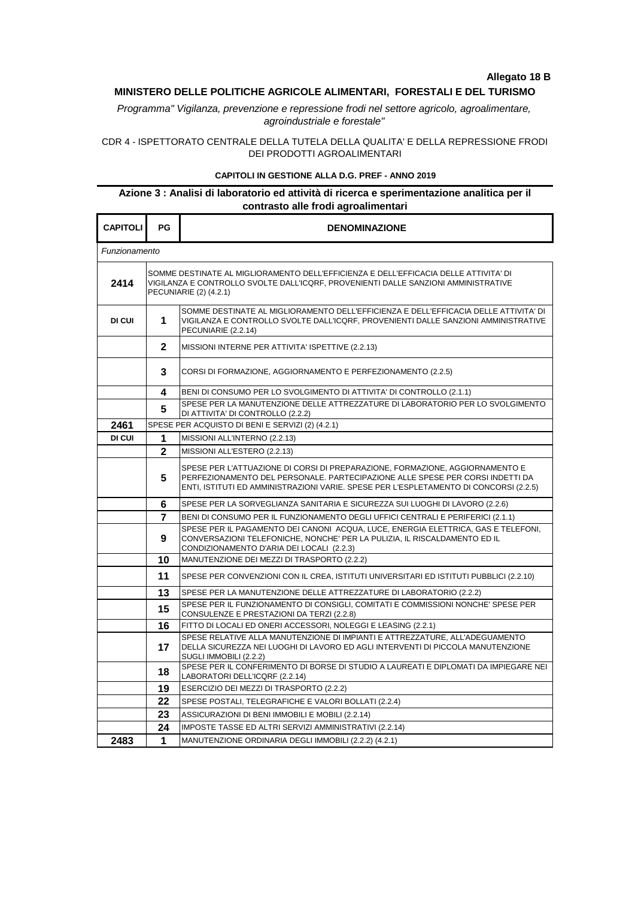## **Allegato 18 B**

## **MINISTERO DELLE POLITICHE AGRICOLE ALIMENTARI, FORESTALI E DEL TURISMO**

*Programma" Vigilanza, prevenzione e repressione frodi nel settore agricolo, agroalimentare, agroindustriale e forestale"*

CDR 4 - ISPETTORATO CENTRALE DELLA TUTELA DELLA QUALITA' E DELLA REPRESSIONE FRODI DEI PRODOTTI AGROALIMENTARI

## **CAPITOLI IN GESTIONE ALLA D.G. PREF - ANNO 2019**

## **Azione 3 : Analisi di laboratorio ed attività di ricerca e sperimentazione analitica per il contrasto alle frodi agroalimentari**

| <b>CAPITOLI</b> | PG                                                                                                                                                                                                   | <b>DENOMINAZIONE</b>                                                                                                                                                                                                                                   |  |
|-----------------|------------------------------------------------------------------------------------------------------------------------------------------------------------------------------------------------------|--------------------------------------------------------------------------------------------------------------------------------------------------------------------------------------------------------------------------------------------------------|--|
| Funzionamento   |                                                                                                                                                                                                      |                                                                                                                                                                                                                                                        |  |
| 2414            | SOMME DESTINATE AL MIGLIORAMENTO DELL'EFFICIENZA E DELL'EFFICACIA DELLE ATTIVITA' DI<br>VIGILANZA E CONTROLLO SVOLTE DALL'ICQRF, PROVENIENTI DALLE SANZIONI AMMINISTRATIVE<br>PECUNIARIE (2) (4.2.1) |                                                                                                                                                                                                                                                        |  |
| DI CUI          | 1                                                                                                                                                                                                    | SOMME DESTINATE AL MIGLIORAMENTO DELL'EFFICIENZA E DELL'EFFICACIA DELLE ATTIVITA' DI<br>VIGILANZA E CONTROLLO SVOLTE DALL'ICQRF, PROVENIENTI DALLE SANZIONI AMMINISTRATIVE<br>PECUNIARIE (2.2.14)                                                      |  |
|                 | $\mathbf{2}$                                                                                                                                                                                         | MISSIONI INTERNE PER ATTIVITA' ISPETTIVE (2.2.13)                                                                                                                                                                                                      |  |
|                 | 3                                                                                                                                                                                                    | CORSI DI FORMAZIONE, AGGIORNAMENTO E PERFEZIONAMENTO (2.2.5)                                                                                                                                                                                           |  |
|                 | 4                                                                                                                                                                                                    | BENI DI CONSUMO PER LO SVOLGIMENTO DI ATTIVITA' DI CONTROLLO (2.1.1)                                                                                                                                                                                   |  |
|                 | 5                                                                                                                                                                                                    | SPESE PER LA MANUTENZIONE DELLE ATTREZZATURE DI LABORATORIO PER LO SVOLGIMENTO<br>DI ATTIVITA' DI CONTROLLO (2.2.2)                                                                                                                                    |  |
| 2461            | SPESE PER ACQUISTO DI BENI E SERVIZI (2) (4.2.1)                                                                                                                                                     |                                                                                                                                                                                                                                                        |  |
| DI CUI          | 1                                                                                                                                                                                                    | MISSIONI ALL'INTERNO (2.2.13)                                                                                                                                                                                                                          |  |
|                 | $\overline{2}$                                                                                                                                                                                       | MISSIONI ALL'ESTERO (2.2.13)                                                                                                                                                                                                                           |  |
|                 | 5                                                                                                                                                                                                    | SPESE PER L'ATTUAZIONE DI CORSI DI PREPARAZIONE, FORMAZIONE, AGGIORNAMENTO E<br>PERFEZIONAMENTO DEL PERSONALE. PARTECIPAZIONE ALLE SPESE PER CORSI INDETTI DA<br>ENTI, ISTITUTI ED AMMINISTRAZIONI VARIE. SPESE PER L'ESPLETAMENTO DI CONCORSI (2.2.5) |  |
|                 | 6                                                                                                                                                                                                    | SPESE PER LA SORVEGLIANZA SANITARIA E SICUREZZA SUI LUOGHI DI LAVORO (2.2.6)                                                                                                                                                                           |  |
|                 | 7                                                                                                                                                                                                    | BENI DI CONSUMO PER IL FUNZIONAMENTO DEGLI UFFICI CENTRALI E PERIFERICI (2.1.1)                                                                                                                                                                        |  |
|                 | 9                                                                                                                                                                                                    | SPESE PER IL PAGAMENTO DEI CANONI ACQUA. LUCE. ENERGIA ELETTRICA. GAS E TELEFONI.<br>CONVERSAZIONI TELEFONICHE, NONCHE' PER LA PULIZIA, IL RISCALDAMENTO ED IL<br>CONDIZIONAMENTO D'ARIA DEI LOCALI (2.2.3)                                            |  |
|                 | 10                                                                                                                                                                                                   | MANUTENZIONE DEI MEZZI DI TRASPORTO (2.2.2)                                                                                                                                                                                                            |  |
|                 | 11                                                                                                                                                                                                   | SPESE PER CONVENZIONI CON IL CREA, ISTITUTI UNIVERSITARI ED ISTITUTI PUBBLICI (2.2.10)                                                                                                                                                                 |  |
|                 | 13                                                                                                                                                                                                   | SPESE PER LA MANUTENZIONE DELLE ATTREZZATURE DI LABORATORIO (2.2.2)                                                                                                                                                                                    |  |
|                 | 15                                                                                                                                                                                                   | SPESE PER IL FUNZIONAMENTO DI CONSIGLI, COMITATI E COMMISSIONI NONCHE' SPESE PER<br>CONSULENZE E PRESTAZIONI DA TERZI (2.2.8)                                                                                                                          |  |
|                 | 16                                                                                                                                                                                                   | FITTO DI LOCALI ED ONERI ACCESSORI, NOLEGGI E LEASING (2.2.1)                                                                                                                                                                                          |  |
|                 | 17                                                                                                                                                                                                   | SPESE RELATIVE ALLA MANUTENZIONE DI IMPIANTI E ATTREZZATURE, ALL'ADEGUAMENTO<br>DELLA SICUREZZA NEI LUOGHI DI LAVORO ED AGLI INTERVENTI DI PICCOLA MANUTENZIONE<br>SUGLI IMMOBILI (2.2.2)                                                              |  |
|                 | 18                                                                                                                                                                                                   | SPESE PER IL CONFERIMENTO DI BORSE DI STUDIO A LAUREATI E DIPLOMATI DA IMPIEGARE NEI<br>LABORATORI DELL'ICQRF (2.2.14)                                                                                                                                 |  |
|                 | 19                                                                                                                                                                                                   | ESERCIZIO DEI MEZZI DI TRASPORTO (2.2.2)                                                                                                                                                                                                               |  |
|                 | 22                                                                                                                                                                                                   | SPESE POSTALI, TELEGRAFICHE E VALORI BOLLATI (2.2.4)                                                                                                                                                                                                   |  |
|                 | 23                                                                                                                                                                                                   | ASSICURAZIONI DI BENI IMMOBILI E MOBILI (2.2.14)                                                                                                                                                                                                       |  |
|                 | 24                                                                                                                                                                                                   | IMPOSTE TASSE ED ALTRI SERVIZI AMMINISTRATIVI (2.2.14)                                                                                                                                                                                                 |  |
| 2483            | 1                                                                                                                                                                                                    | MANUTENZIONE ORDINARIA DEGLI IMMOBILI (2.2.2) (4.2.1)                                                                                                                                                                                                  |  |